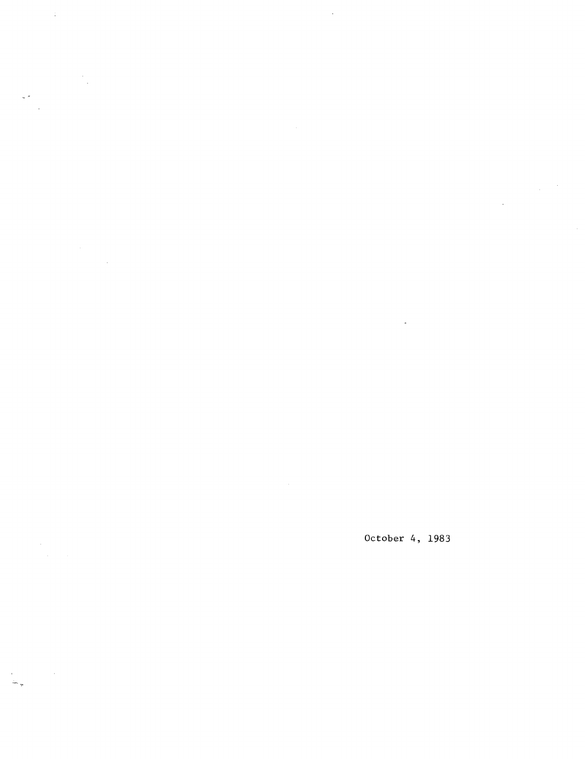October 4, 1983

 $\sim 10$ 

 $\sim$   $\sim$ 

 $\sim 40^{\circ}$ 

 $\frac{1}{\sqrt{2}}$ 

 $\frac{1}{2} \frac{1}{2} \frac{1}{2} \frac{1}{2} \frac{1}{2}$ 

 $\sim$   $\sim$ 

 $\sim 10^6$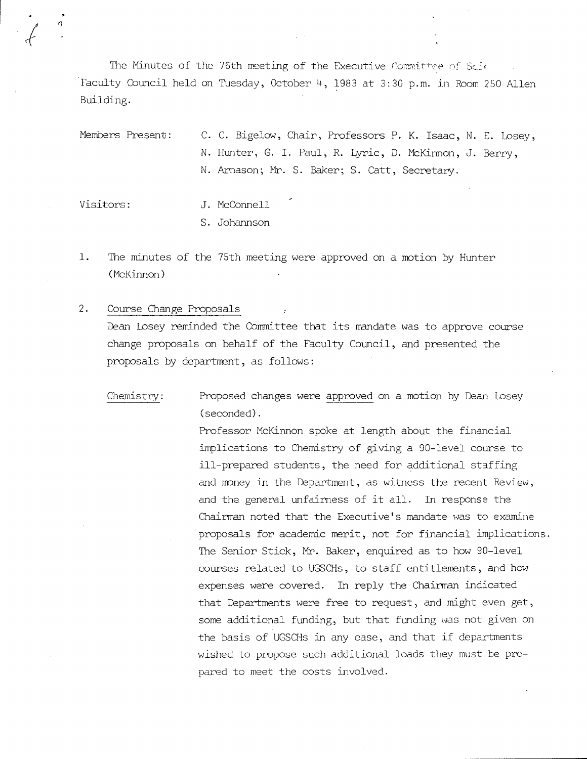The Minutes of the 76th meeting of the Executive Committee of Scie Faculty Council held on Tuesday, October 4, 1983 at 3:30 p.m. in Room 250 Allen Building.

Members Present: C. C. Bigelow, Chair, Professors P. K. Isaac, N. E. Losey, N. Hunter, G. I. Paul, R. Lyric, D. McKinnon, J. Berry, N. Arnason; Mr. S. Baker; S. Catt, Secretary.

Visitors: J. McConnell S. Johannson

 $1.$ The minutes of the 75th meeting were approved on a motion by Hunter (McKinnon)

 $2.$ Course Change Proposals Dean Losey reminded the Comnittee that its mandate was to approve course change proposals on behalf of the Faculty Council, and presented the proposals by department, as follows:

Chemistry: Proposed changes were approved on a motion by Dean Losey (seconded).

> Professor McKinnon spoke at length about the financial implications to Chemistry of giving a 90-level course to ill-prepared students, the need for additional staffing and money in the Department, as witness the recent Review, and the general unfairness of it all. In response the Chairman noted that the Executive's mandate was to examine proposals for academic merit, not for financial implications. The Senior Stick, Mr. Baker, enquired as to how 90-level courses related to UGSCHs, to staff entitlements, and how expenses were covered. In reply the Chairman indicated that Departments were free to request, and might even get, some additional funding, but that funding was not given on the basis of UGSCHs in any case, and that if departments wished to propose such additional loads they must be prepared to meet the costs involved.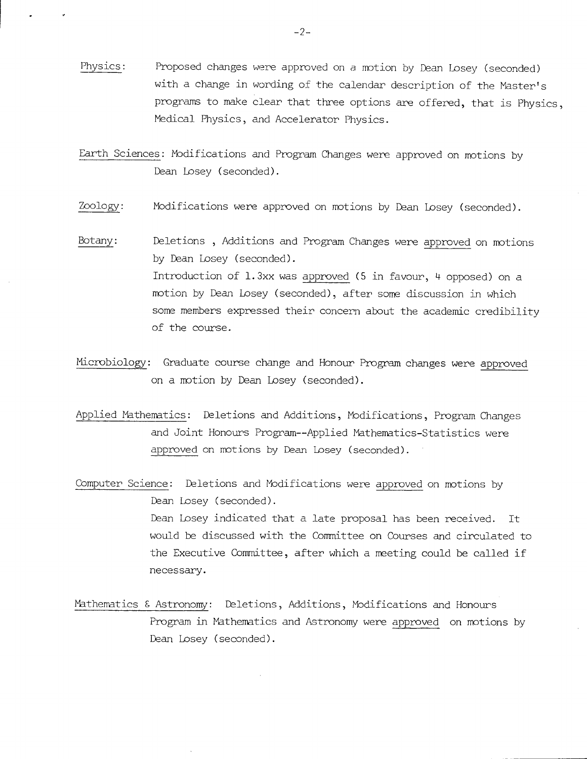Physics: Proposed changes were approved on a motion by Dean Losey (seconded) with a change in wording of the calendar description of the Master's programs to make clear that three options are offered, that is Physics, Medical Physics, and Accelerator Physics.

Earth Sciences: Modifications and Program Changes were approved on motions by Dean Losey (seconded).

- Zoology: Modifications were approved on motions by Dean Losey (seconded).
- Botany: Deletions , Additions and Program Changes were approved on motions by Dean Losey (seconded). Introduction of 1.3xx was approved (5 in favour, 4 opposed) on a motion by Dean Losey (seconded), after some discussion in which some members expressed their concern about the academic credibility of the course.
- Microbiology: Graduate course change and Honour Program changes were approved on a motion by Dean Losey (seconded).
- Applied Mathematics: Deletions and Additions, Modifications, Program Changes and Joint Honours Program--Applied Mathematics-Statistics were approved on motions by Dean Losey (seconded).
- Computer Science: Deletions and Modifications were approved on motions by Dean Losey (seconded). Dean Losey indicated that a late proposal has been received. It would be discussed with the Committee on Courses and circulated to the Executive Committee, after which a meeting could be called if necessary.
- Mathematics & Astronomy: Deletions, Additions, Modifications and Honours Program in Mathematics and Astronomy were approved on motions by Dean Losey (seconded).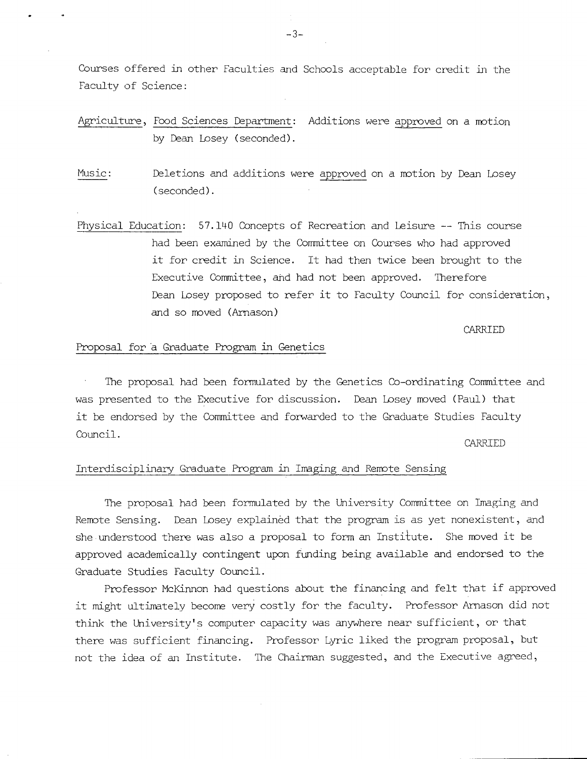Courses offered in other Facull:ies and Schools acceptable for credit in the Faculty of Science:

Agriculture, Food Sciences Department: Additions were approved on a notion by Dean Losey (seconded).

Music: Deletions and additions were approved on a notion by Dean Losey (seconded).

Physical Education: 57.1140 Concepts of Recreation and Leisure -- This course had been examined by the Committee on Courses who had approved it for credit in Science. It had then twice been brought to the Executive Committee, and had not been approved. Therefore Dean Losey proposed to refer it to Faculty Council for consideration, and so moved (Arnason)

CARRIED

### Proposal for a Graduate Program in Genetics

The proposal had been formulated by the Genetics Co-ordinating Committee and was presented to the Executive for discussion. Dean Losey moved (Paul) that it be endorsed by the Committee and forwarded to the Graduate Studies Faculty Council.

CARRIED

## Interdisciplinary Graduate Program in Imaging and Remote Sensing

The proposal had been formulated by the University Committee on Imaging and Remote Sensing. Dean Losey explained that the program is as yet nonexistent, and she understood there was also a proposal to form an Institute. She moved it be approved academically contingent upon funding being available and endorsed to the Graduate Studies Faculty Council.

Professor McKinnon had questions about the financing and felt that if approved it might ultimately become very costly for the faculty. Professor Arnason did not think the University's computer capacity was anywhere near sufficient, or that there was sufficient financing. Professor Lyric liked the program proposal, but not the idea of an Institute. The Chairman suggested, and the Executive agreed,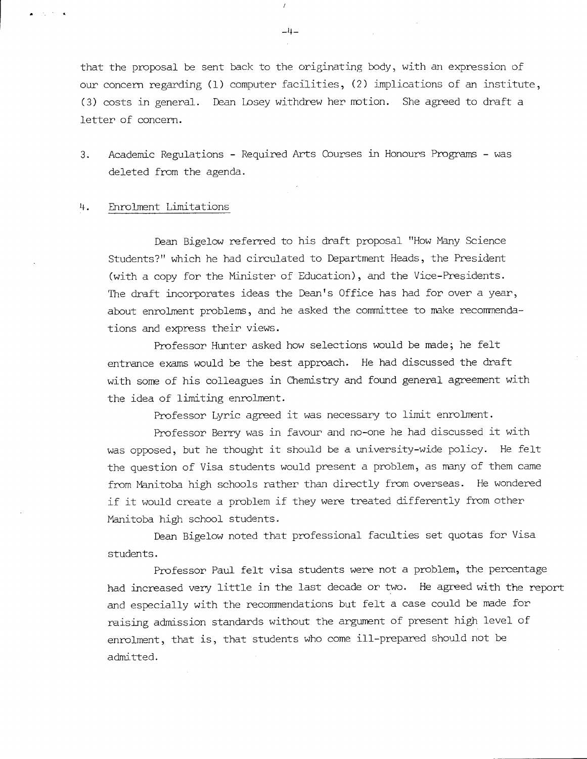that the proposal be sent back to the originating body, with an expression of our concern regarding (1) computer facilities, (2) implications of an institute, (3) costs in general. Dean Losey withdrew her notion. She agreed to draft a letter of concern.

3. Academic Regulations - Required Arts Courses in Honours Programs - was deleted from the agenda.

#### . Enrolment Limitations

Dean Bigelow referred to his draft proposal "How Many Science Students?" which he had circulated to Department Heads, the President (with a copy for the Minister of Education), and the Vice-Presidents. The draft incorporates ideas the Dean's Office has had for over a year, about enrolment problems, and he asked the committee to make recommendations and express their views.

Professor Hunter asked how selections would be made; he felt entrance exams would be the best approach. He had discussed the draft with some of his colleagues in Chemistry and found general agreement with the idea of limiting enrolment.

Professor Lyric agreed it was necessary to limit enrolment.

Professor Berry was in favour and no-one he had discussed it with was opposed, but he thought it should be a university-wide policy. He felt the question of Visa students would present a problem, as many of them came from Manitoba high schools rather than directly from overseas. He wondered if it would create a problem if they were treated differently from other Manitoba high school students.

Dean Bigelow noted that professional faculties set quotas for Visa students.

Professor Paul felt visa students were not a problem, the percentage had increased very little in the last decade or two. He agreed with the report and especially with the recommendations but felt a case could be made for raising admission standards without the argument of present high level of enrolment, that is, that students who come ill-prepared should not be admitted.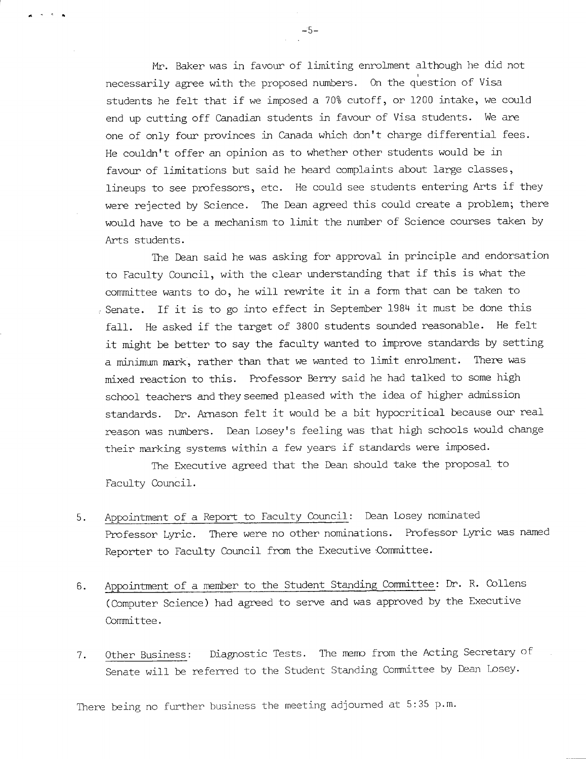Mr. Baker was in favour of limiting enrolment although he did not necessarily agree with the proposed numbers. On the question of Visa students he felt that if we imposed a 70% cutoff, or 1200 intake, we could end up cutting off Canadian students in favour of Visa students. We are one of only four provinces in Canada which don't charge differential fees. He couldn't offer an opinion as to whether other students would be in favour of limitations but said he heard complaints about large classes, lineups to see professors, etc. He could see students entering Arts if they were rejected by Science. The Dean agreed this could create a problem; there would have to be a mechanism to limit the number of Science courses taken by Arts students.

The Dean said he was asking for approval in principle and endorsation to Faculty Council, with the clear understanding that if this is what the committee wants to do, he will rewrite it in a form that can be taken to Senate. If it is to go into effect in September 1984 it must be done this fall. He asked if the target of 3800 students sounded reasonable. He felt it might be better to say the faculty wanted to improve standards by setting a minimum mark, rather than that **we** wanted to limit enrolment. There was mixed reaction to this. Professor Berry said he had talked to some high school teachers and they seemed pleased with the idea of higher admission standards. Dr. Arnason felt it would be a bit hypocritical because our real reason was numbers. Dean Losey's feeling was that high schools would change their marking systems within a few years if standards were imposed.

The Executive agreed that the Dean should take the proposal to Faculty Council.

- Appointment of a Report to Faculty Council: Dean Losey nominated 5. Professor Lyric. There were no other nominations. Professor Lyric was named Reporter to Faculty Council from the Executive Committee.
- Appointment of a member to the Student Standing Committee: Dr. R. Collens  $6.$ (Computer Science) had agreed to serve and was approved by the Executive Committee.
- Other Business: Diagnostic Tests. The memo from the Acting Secretary of 7. Senate will be referred to the Student Standing Committee by Dean Losey.

There being no further business the meeting adjourned at 5:35 p.m.

 $-5-$